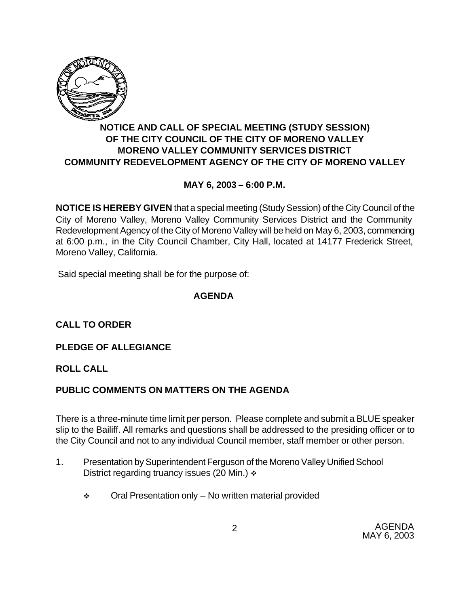

# **NOTICE AND CALL OF SPECIAL MEETING (STUDY SESSION) OF THE CITY COUNCIL OF THE CITY OF MORENO VALLEY MORENO VALLEY COMMUNITY SERVICES DISTRICT COMMUNITY REDEVELOPMENT AGENCY OF THE CITY OF MORENO VALLEY**

# **MAY 6, 2003 – 6:00 P.M.**

**NOTICE IS HEREBY GIVEN** that a special meeting (Study Session) of the City Council of the City of Moreno Valley, Moreno Valley Community Services District and the Community Redevelopment Agency of the City of Moreno Valley will be held on May 6, 2003, commencing at 6:00 p.m., in the City Council Chamber, City Hall, located at 14177 Frederick Street, Moreno Valley, California.

Said special meeting shall be for the purpose of:

#### **AGENDA**

# **CALL TO ORDER**

### **PLEDGE OF ALLEGIANCE**

### **ROLL CALL**

### **PUBLIC COMMENTS ON MATTERS ON THE AGENDA**

There is a three-minute time limit per person. Please complete and submit a BLUE speaker slip to the Bailiff. All remarks and questions shall be addressed to the presiding officer or to the City Council and not to any individual Council member, staff member or other person.

- 1. Presentation by Superintendent Ferguson of the Moreno Valley Unified School District regarding truancy issues (20 Min.)  $\div$ 
	- $\div$  Oral Presentation only No written material provided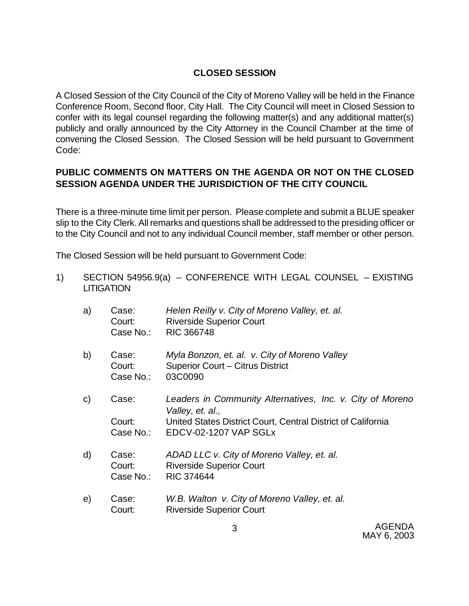### **CLOSED SESSION**

A Closed Session of the City Council of the City of Moreno Valley will be held in the Finance Conference Room, Second floor, City Hall. The City Council will meet in Closed Session to confer with its legal counsel regarding the following matter(s) and any additional matter(s) publicly and orally announced by the City Attorney in the Council Chamber at the time of convening the Closed Session. The Closed Session will be held pursuant to Government Code:

## **PUBLIC COMMENTS ON MATTERS ON THE AGENDA OR NOT ON THE CLOSED SESSION AGENDA UNDER THE JURISDICTION OF THE CITY COUNCIL**

There is a three-minute time limit per person. Please complete and submit a BLUE speaker slip to the City Clerk. All remarks and questions shall be addressed to the presiding officer or to the City Council and not to any individual Council member, staff member or other person.

The Closed Session will be held pursuant to Government Code:

1) SECTION 54956.9(a) – CONFERENCE WITH LEGAL COUNSEL – EXISTING **LITIGATION** 

| a)           | Case:<br>Court:<br>Case No.: | Helen Reilly v. City of Moreno Valley, et. al.<br><b>Riverside Superior Court</b><br><b>RIC 366748</b>                                                                           |
|--------------|------------------------------|----------------------------------------------------------------------------------------------------------------------------------------------------------------------------------|
| b)           | Case:<br>Court:<br>Case No.: | Myla Bonzon, et. al. v. City of Moreno Valley<br>Superior Court - Citrus District<br>03C0090                                                                                     |
| $\mathsf{C}$ | Case:<br>Court:              | Leaders in Community Alternatives, Inc. v. City of Moreno<br>Valley, et. al.,<br>United States District Court, Central District of California<br>Case No.: EDCV-02-1207 VAP SGLx |
| d)           | Case:<br>Court:<br>Case No.: | ADAD LLC v. City of Moreno Valley, et. al.<br><b>Riverside Superior Court</b><br><b>RIC 374644</b>                                                                               |
| e)           | Case:<br>Court:              | W.B. Walton v. City of Moreno Valley, et. al.<br><b>Riverside Superior Court</b>                                                                                                 |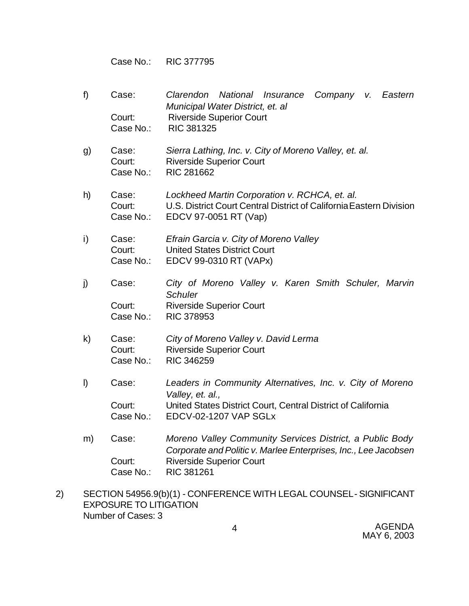Case No.: RIC 377795

- f) Case: *Clarendon National Insurance Company v. Eastern Municipal Water District, et. al* Court: Riverside Superior Court Case No.: RIC 381325
- g) Case: *Sierra Lathing, Inc. v. City of Moreno Valley, et. al.* Court: Riverside Superior Court Case No.: RIC 281662
- h) Case: *Lockheed Martin Corporation v. RCHCA, et. al.* Court: U.S. District Court Central District of California Eastern Division Case No.: EDCV 97-0051 RT (Vap)
- i) Case: *Efrain Garcia v. City of Moreno Valley* Court: United States District Court Case No.: EDCV 99-0310 RT (VAPx)
- j) Case: *City of Moreno Valley v. Karen Smith Schuler, Marvin Schuler* Court: Riverside Superior Court Case No.: RIC 378953
- k) Case: *City of Moreno Valley v. David Lerma* Court: Riverside Superior Court Case No.: RIC 346259
- l) Case: *Leaders in Community Alternatives, Inc. v. City of Moreno Valley, et. al.,* Court: United States District Court, Central District of California Case No.: EDCV-02-1207 VAP SGLx
- m) Case: *Moreno Valley Community Services District, a Public Body Corporate and Politic v. Marlee Enterprises, Inc., Lee Jacobsen* Court: Riverside Superior Court Case No.: RIC 381261
- 2) SECTION 54956.9(b)(1) CONFERENCE WITH LEGAL COUNSEL SIGNIFICANT EXPOSURE TO LITIGATION Number of Cases: 3